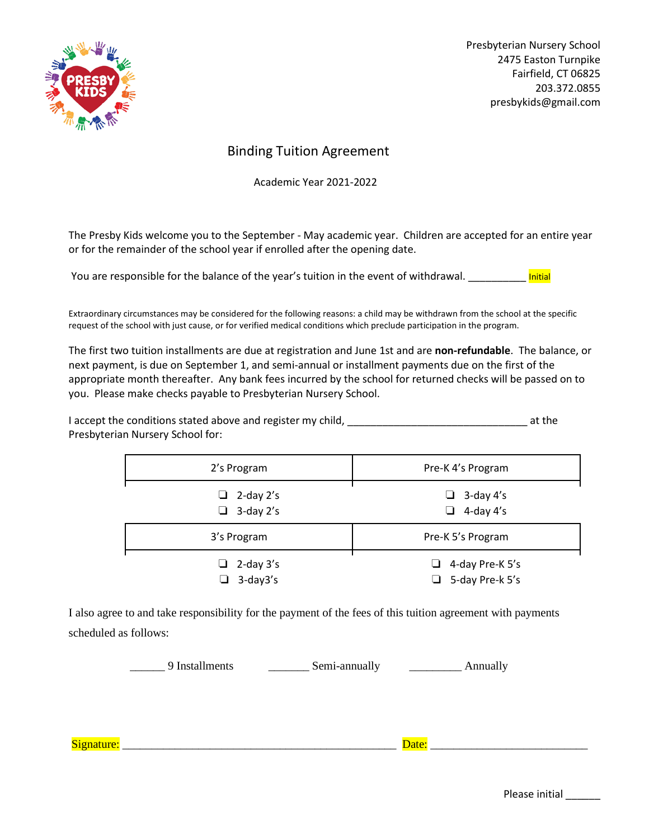

Presbyterian Nursery School 2475 Easton Turnpike Fairfield, CT 06825 203.372.0855 presbykids@gmail.com

# Binding Tuition Agreement

Academic Year 2021-2022

The Presby Kids welcome you to the September - May academic year. Children are accepted for an entire year or for the remainder of the school year if enrolled after the opening date.

You are responsible for the balance of the year's tuition in the event of withdrawal.

Extraordinary circumstances may be considered for the following reasons: a child may be withdrawn from the school at the specific request of the school with just cause, or for verified medical conditions which preclude participation in the program.

The first two tuition installments are due at registration and June 1st and are **non-refundable**. The balance, or next payment, is due on September 1, and semi-annual or installment payments due on the first of the appropriate month thereafter. Any bank fees incurred by the school for returned checks will be passed on to you. Please make checks payable to Presbyterian Nursery School.

I accept the conditions stated above and register my child, \_\_\_\_\_\_\_\_\_\_\_\_\_\_\_\_\_\_\_\_\_\_\_\_\_\_\_\_\_\_\_ at the Presbyterian Nursery School for:

| 2's Program                          | Pre-K 4's Program                                |
|--------------------------------------|--------------------------------------------------|
| $\Box$ 2-day 2's<br>$\Box$ 3-day 2's | $\Box$ 3-day 4's<br>$\Box$ 4-day 4's             |
| 3's Program                          | Pre-K 5's Program                                |
| $\Box$ 2-day 3's<br>3-day3's<br>ப    | $\Box$ 4-day Pre-K 5's<br>$\Box$ 5-day Pre-k 5's |

I also agree to and take responsibility for the payment of the fees of this tuition agreement with payments scheduled as follows:

9 Installments Semi-annually Annually